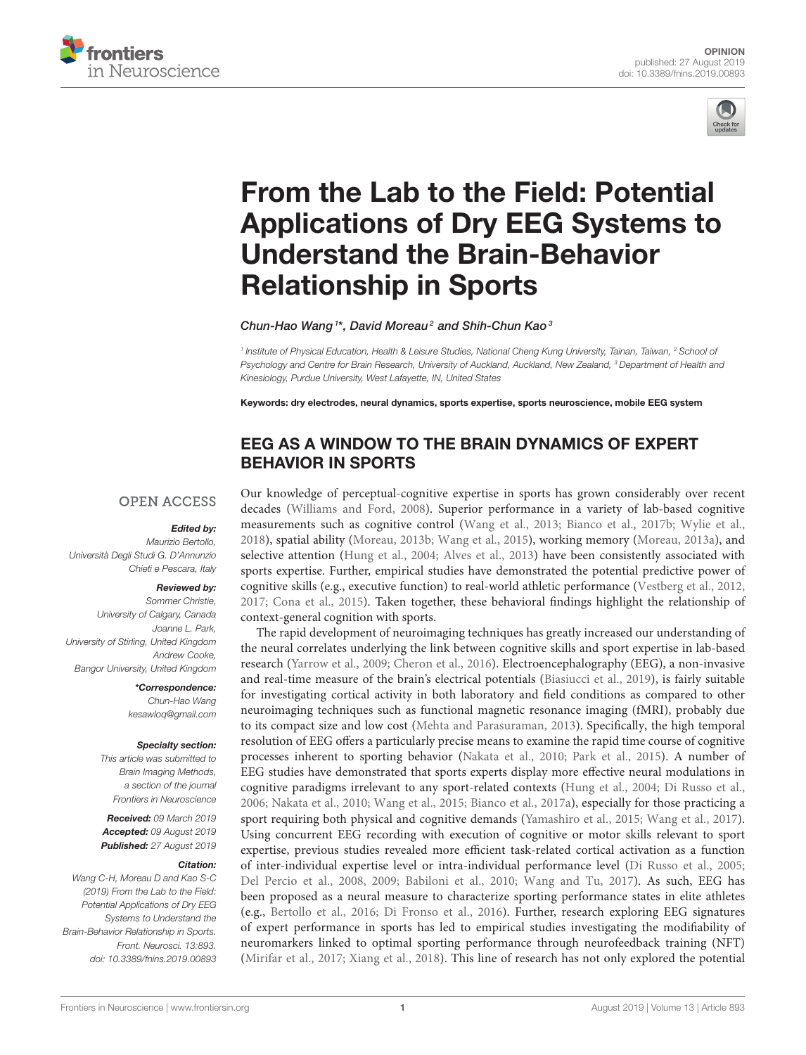



# From the Lab to the Field: Potential [Applications of Dry EEG Systems to](https://www.frontiersin.org/articles/10.3389/fnins.2019.00893/full) Understand the Brain-Behavior Relationship in Sports

[Chun-Hao Wang](http://loop.frontiersin.org/people/174448/overview)<sup>1\*</sup>, [David Moreau](http://loop.frontiersin.org/people/752886/overview)<sup>2</sup> and [Shih-Chun Kao](http://loop.frontiersin.org/people/627344/overview)<sup>3</sup>

<sup>1</sup> Institute of Physical Education, Health & Leisure Studies, National Cheng Kung University, Tainan, Taiwan, <sup>2</sup> School o*f* Psychology and Centre for Brain Research, University of Auckland, Auckland, New Zealand, <sup>3</sup> Department of Health and Kinesiology, Purdue University, West Lafayette, IN, United States

Keywords: dry electrodes, neural dynamics, sports expertise, sports neuroscience, mobile EEG system

# EEG AS A WINDOW TO THE BRAIN DYNAMICS OF EXPERT BEHAVIOR IN SPORTS

#### **OPEN ACCESS**

#### Edited by:

Maurizio Bertollo, Università Degli Studi G. D'Annunzio Chieti e Pescara, Italy

#### Reviewed by:

Sommer Christie, University of Calgary, Canada Joanne L. Park, University of Stirling, United Kingdom Andrew Cooke, Bangor University, United Kingdom

> \*Correspondence: Chun-Hao Wang [kesawloq@gmail.com](mailto:kesawloq@gmail.com)

#### Specialty section:

This article was submitted to Brain Imaging Methods, a section of the journal Frontiers in Neuroscience

Received: 09 March 2019 Accepted: 09 August 2019 Published: 27 August 2019

#### Citation:

Wang C-H, Moreau D and Kao S-C (2019) From the Lab to the Field: Potential Applications of Dry EEG Systems to Understand the Brain-Behavior Relationship in Sports. Front. Neurosci. 13:893. doi: [10.3389/fnins.2019.00893](https://doi.org/10.3389/fnins.2019.00893) Our knowledge of perceptual-cognitive expertise in sports has grown considerably over recent decades [\(Williams and Ford, 2008\)](#page-4-0). Superior performance in a variety of lab-based cognitive measurements such as cognitive control [\(Wang et al., 2013;](#page-4-1) [Bianco et al., 2017b;](#page-3-0) [Wylie et al.,](#page-4-2) [2018\)](#page-4-2), spatial ability [\(Moreau, 2013b;](#page-4-3) [Wang et al., 2015\)](#page-4-4), working memory [\(Moreau, 2013a\)](#page-4-5), and selective attention [\(Hung et al., 2004;](#page-3-1) [Alves et al., 2013\)](#page-3-2) have been consistently associated with sports expertise. Further, empirical studies have demonstrated the potential predictive power of cognitive skills (e.g., executive function) to real-world athletic performance [\(Vestberg et al., 2012,](#page-4-6) [2017;](#page-4-7) [Cona et al., 2015\)](#page-3-3). Taken together, these behavioral findings highlight the relationship of context-general cognition with sports.

The rapid development of neuroimaging techniques has greatly increased our understanding of the neural correlates underlying the link between cognitive skills and sport expertise in lab-based research [\(Yarrow et al., 2009;](#page-5-0) [Cheron et al., 2016\)](#page-3-4). Electroencephalography (EEG), a non-invasive and real-time measure of the brain's electrical potentials [\(Biasiucci et al., 2019\)](#page-3-5), is fairly suitable for investigating cortical activity in both laboratory and field conditions as compared to other neuroimaging techniques such as functional magnetic resonance imaging (fMRI), probably due to its compact size and low cost [\(Mehta and Parasuraman, 2013\)](#page-4-8). Specifically, the high temporal resolution of EEG offers a particularly precise means to examine the rapid time course of cognitive processes inherent to sporting behavior [\(Nakata et al., 2010;](#page-4-9) [Park et al., 2015\)](#page-4-10). A number of EEG studies have demonstrated that sports experts display more effective neural modulations in cognitive paradigms irrelevant to any sport-related contexts [\(Hung et al., 2004;](#page-3-1) [Di Russo et al.,](#page-3-6) [2006;](#page-3-6) [Nakata et al., 2010;](#page-4-9) [Wang et al., 2015;](#page-4-4) [Bianco et al., 2017a\)](#page-3-7), especially for those practicing a sport requiring both physical and cognitive demands [\(Yamashiro et al., 2015;](#page-4-11) [Wang et al., 2017\)](#page-4-12). Using concurrent EEG recording with execution of cognitive or motor skills relevant to sport expertise, previous studies revealed more efficient task-related cortical activation as a function of inter-individual expertise level or intra-individual performance level [\(Di Russo et al., 2005;](#page-3-8) [Del Percio et al., 2008,](#page-3-9) [2009;](#page-3-10) [Babiloni et al., 2010;](#page-3-11) [Wang and](#page-4-13) Tu, [2017\)](#page-4-13). As such, EEG has been proposed as a neural measure to characterize sporting performance states in elite athletes (e.g., [Bertollo et al., 2016;](#page-3-12) [Di Fronso et al., 2016\)](#page-3-13). Further, research exploring EEG signatures of expert performance in sports has led to empirical studies investigating the modifiability of neuromarkers linked to optimal sporting performance through neurofeedback training (NFT) [\(Mirifar et al., 2017;](#page-4-14) [Xiang et al., 2018\)](#page-4-15). This line of research has not only explored the potential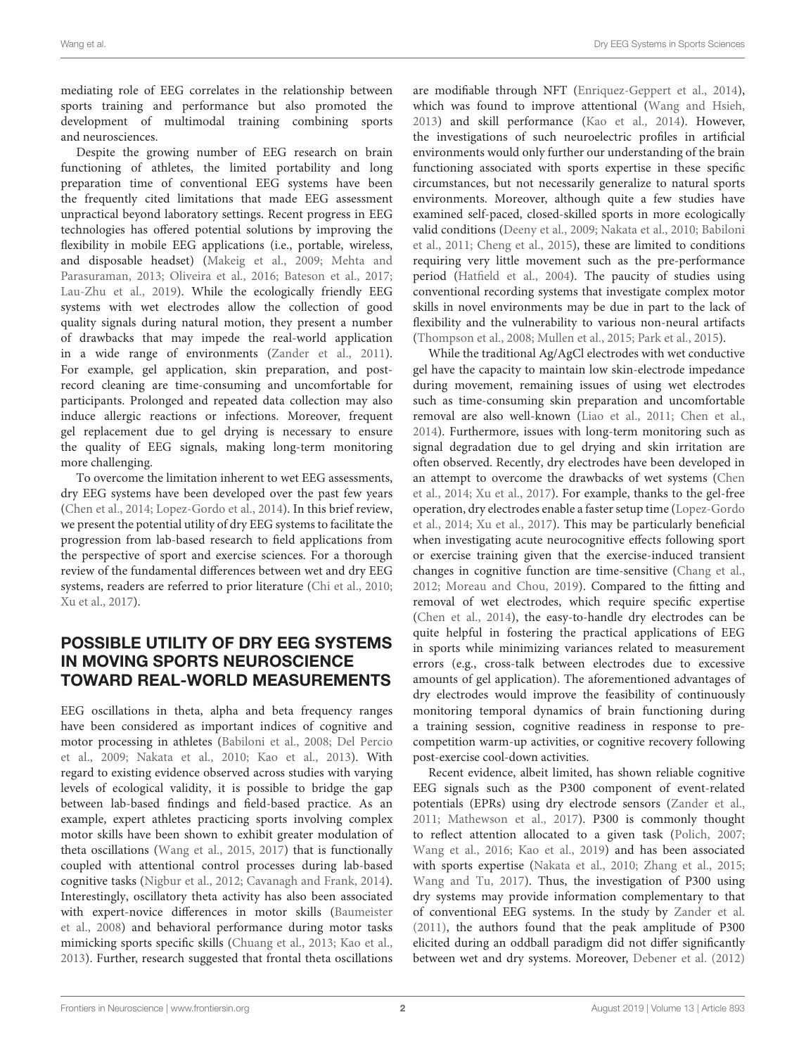mediating role of EEG correlates in the relationship between sports training and performance but also promoted the development of multimodal training combining sports and neurosciences.

Despite the growing number of EEG research on brain functioning of athletes, the limited portability and long preparation time of conventional EEG systems have been the frequently cited limitations that made EEG assessment unpractical beyond laboratory settings. Recent progress in EEG technologies has offered potential solutions by improving the flexibility in mobile EEG applications (i.e., portable, wireless, and disposable headset) [\(Makeig et al., 2009;](#page-4-16) Mehta and Parasuraman, [2013;](#page-4-8) [Oliveira et al., 2016;](#page-4-17) [Bateson et al., 2017;](#page-3-14) [Lau-Zhu et al., 2019\)](#page-4-18). While the ecologically friendly EEG systems with wet electrodes allow the collection of good quality signals during natural motion, they present a number of drawbacks that may impede the real-world application in a wide range of environments [\(Zander et al., 2011\)](#page-5-1). For example, gel application, skin preparation, and postrecord cleaning are time-consuming and uncomfortable for participants. Prolonged and repeated data collection may also induce allergic reactions or infections. Moreover, frequent gel replacement due to gel drying is necessary to ensure the quality of EEG signals, making long-term monitoring more challenging.

To overcome the limitation inherent to wet EEG assessments, dry EEG systems have been developed over the past few years [\(Chen et al., 2014;](#page-3-15) [Lopez-Gordo et al., 2014\)](#page-4-19). In this brief review, we present the potential utility of dry EEG systems to facilitate the progression from lab-based research to field applications from the perspective of sport and exercise sciences. For a thorough review of the fundamental differences between wet and dry EEG systems, readers are referred to prior literature [\(Chi et al., 2010;](#page-3-16) [Xu et al., 2017\)](#page-4-20).

# POSSIBLE UTILITY OF DRY EEG SYSTEMS IN MOVING SPORTS NEUROSCIENCE TOWARD REAL-WORLD MEASUREMENTS

EEG oscillations in theta, alpha and beta frequency ranges have been considered as important indices of cognitive and motor processing in athletes [\(Babiloni et al., 2008;](#page-3-17) Del Percio et al., [2009;](#page-3-10) [Nakata et al., 2010;](#page-4-9) [Kao et al., 2013\)](#page-4-21). With regard to existing evidence observed across studies with varying levels of ecological validity, it is possible to bridge the gap between lab-based findings and field-based practice. As an example, expert athletes practicing sports involving complex motor skills have been shown to exhibit greater modulation of theta oscillations [\(Wang et al., 2015,](#page-4-4) [2017\)](#page-4-12) that is functionally coupled with attentional control processes during lab-based cognitive tasks [\(Nigbur et al., 2012;](#page-4-22) [Cavanagh and Frank, 2014\)](#page-3-18). Interestingly, oscillatory theta activity has also been associated with expert-novice differences in motor skills (Baumeister et al., [2008\)](#page-3-19) and behavioral performance during motor tasks mimicking sports specific skills [\(Chuang et al., 2013;](#page-3-20) [Kao et al.,](#page-4-21) [2013\)](#page-4-21). Further, research suggested that frontal theta oscillations are modifiable through NFT [\(Enriquez-Geppert et al., 2014\)](#page-3-21), which was found to improve attentional [\(Wang and Hsieh,](#page-4-23) [2013\)](#page-4-23) and skill performance [\(Kao et al., 2014\)](#page-4-24). However, the investigations of such neuroelectric profiles in artificial environments would only further our understanding of the brain functioning associated with sports expertise in these specific circumstances, but not necessarily generalize to natural sports environments. Moreover, although quite a few studies have examined self-paced, closed-skilled sports in more ecologically valid conditions [\(Deeny et al., 2009;](#page-3-22) [Nakata et al., 2010;](#page-4-9) Babiloni et al., [2011;](#page-3-23) [Cheng et al., 2015\)](#page-3-24), these are limited to conditions requiring very little movement such as the pre-performance period [\(Hatfield et al., 2004\)](#page-3-25). The paucity of studies using conventional recording systems that investigate complex motor skills in novel environments may be due in part to the lack of flexibility and the vulnerability to various non-neural artifacts [\(Thompson et al., 2008;](#page-4-25) [Mullen et al., 2015;](#page-4-26) [Park et al., 2015\)](#page-4-10).

While the traditional Ag/AgCl electrodes with wet conductive gel have the capacity to maintain low skin-electrode impedance during movement, remaining issues of using wet electrodes such as time-consuming skin preparation and uncomfortable removal are also well-known [\(Liao et al., 2011;](#page-4-27) [Chen et al.,](#page-3-15) [2014\)](#page-3-15). Furthermore, issues with long-term monitoring such as signal degradation due to gel drying and skin irritation are often observed. Recently, dry electrodes have been developed in an attempt to overcome the drawbacks of wet systems (Chen et al., [2014;](#page-3-15) [Xu et al., 2017\)](#page-4-20). For example, thanks to the gel-free operation, dry electrodes enable a faster setup time (Lopez-Gordo et al., [2014;](#page-4-19) [Xu et al., 2017\)](#page-4-20). This may be particularly beneficial when investigating acute neurocognitive effects following sport or exercise training given that the exercise-induced transient changes in cognitive function are time-sensitive [\(Chang et al.,](#page-3-26) [2012;](#page-3-26) [Moreau and Chou, 2019\)](#page-4-28). Compared to the fitting and removal of wet electrodes, which require specific expertise [\(Chen et al., 2014\)](#page-3-15), the easy-to-handle dry electrodes can be quite helpful in fostering the practical applications of EEG in sports while minimizing variances related to measurement errors (e.g., cross-talk between electrodes due to excessive amounts of gel application). The aforementioned advantages of dry electrodes would improve the feasibility of continuously monitoring temporal dynamics of brain functioning during a training session, cognitive readiness in response to precompetition warm-up activities, or cognitive recovery following post-exercise cool-down activities.

Recent evidence, albeit limited, has shown reliable cognitive EEG signals such as the P300 component of event-related potentials (EPRs) using dry electrode sensors [\(Zander et al.,](#page-5-1) [2011;](#page-5-1) [Mathewson et al., 2017\)](#page-4-29). P300 is commonly thought to reflect attention allocated to a given task [\(Polich, 2007;](#page-4-30) [Wang et al., 2016;](#page-4-31) [Kao et al., 2019\)](#page-4-32) and has been associated with sports expertise [\(Nakata et al., 2010;](#page-4-9) [Zhang et al., 2015;](#page-5-2) [Wang and Tu, 2017\)](#page-4-13). Thus, the investigation of P300 using dry systems may provide information complementary to that of conventional EEG systems. In the study by [Zander et al.](#page-5-1) [\(2011\)](#page-5-1), the authors found that the peak amplitude of P300 elicited during an oddball paradigm did not differ significantly between wet and dry systems. Moreover, [Debener et al. \(2012\)](#page-3-27)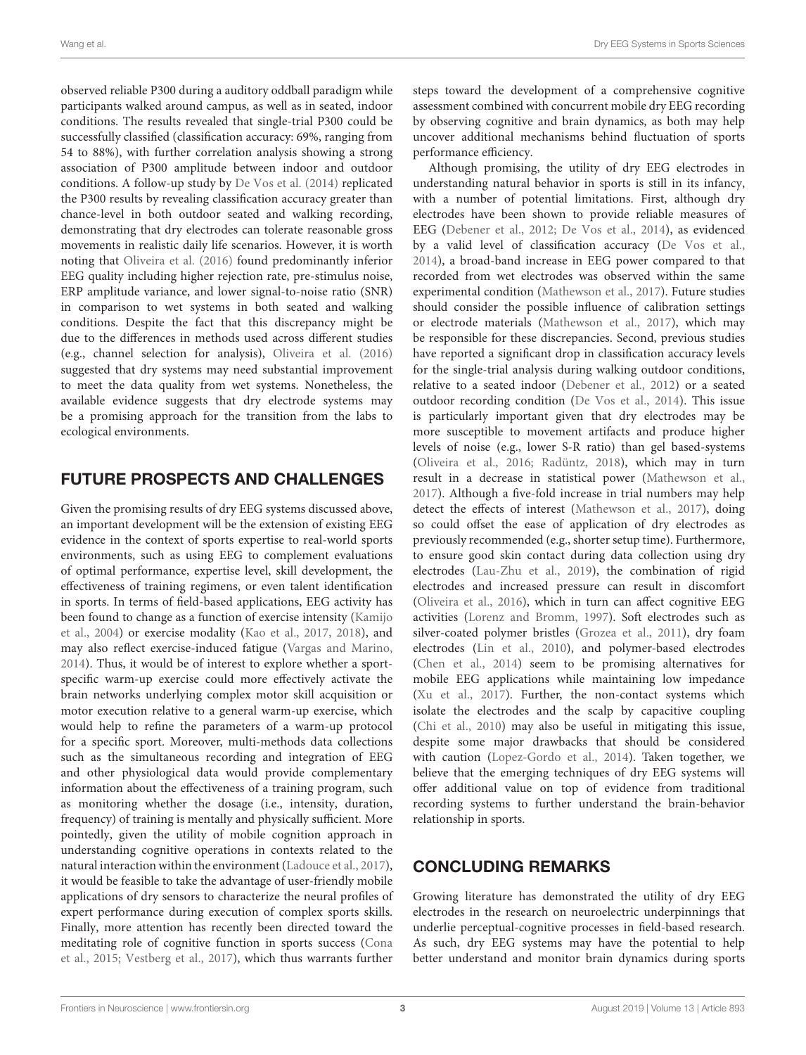observed reliable P300 during a auditory oddball paradigm while participants walked around campus, as well as in seated, indoor conditions. The results revealed that single-trial P300 could be successfully classified (classification accuracy: 69%, ranging from 54 to 88%), with further correlation analysis showing a strong association of P300 amplitude between indoor and outdoor conditions. A follow-up study by [De Vos et al. \(2014\)](#page-3-28) replicated the P300 results by revealing classification accuracy greater than chance-level in both outdoor seated and walking recording, demonstrating that dry electrodes can tolerate reasonable gross movements in realistic daily life scenarios. However, it is worth noting that [Oliveira et al. \(2016\)](#page-4-17) found predominantly inferior EEG quality including higher rejection rate, pre-stimulus noise, ERP amplitude variance, and lower signal-to-noise ratio (SNR) in comparison to wet systems in both seated and walking conditions. Despite the fact that this discrepancy might be due to the differences in methods used across different studies (e.g., channel selection for analysis), [Oliveira et al. \(2016\)](#page-4-17) suggested that dry systems may need substantial improvement to meet the data quality from wet systems. Nonetheless, the available evidence suggests that dry electrode systems may be a promising approach for the transition from the labs to ecological environments.

## FUTURE PROSPECTS AND CHALLENGES

Given the promising results of dry EEG systems discussed above, an important development will be the extension of existing EEG evidence in the context of sports expertise to real-world sports environments, such as using EEG to complement evaluations of optimal performance, expertise level, skill development, the effectiveness of training regimens, or even talent identification in sports. In terms of field-based applications, EEG activity has been found to change as a function of exercise intensity (Kamijo et al., [2004\)](#page-3-29) or exercise modality [\(Kao et al., 2017,](#page-4-33) [2018\)](#page-4-34), and may also reflect exercise-induced fatigue [\(Vargas and Marino,](#page-4-35) [2014\)](#page-4-35). Thus, it would be of interest to explore whether a sportspecific warm-up exercise could more effectively activate the brain networks underlying complex motor skill acquisition or motor execution relative to a general warm-up exercise, which would help to refine the parameters of a warm-up protocol for a specific sport. Moreover, multi-methods data collections such as the simultaneous recording and integration of EEG and other physiological data would provide complementary information about the effectiveness of a training program, such as monitoring whether the dosage (i.e., intensity, duration, frequency) of training is mentally and physically sufficient. More pointedly, given the utility of mobile cognition approach in understanding cognitive operations in contexts related to the natural interaction within the environment [\(Ladouce et al., 2017\)](#page-4-36), it would be feasible to take the advantage of user-friendly mobile applications of dry sensors to characterize the neural profiles of expert performance during execution of complex sports skills. Finally, more attention has recently been directed toward the meditating role of cognitive function in sports success (Cona et al., [2015;](#page-3-3) [Vestberg et al., 2017\)](#page-4-7), which thus warrants further steps toward the development of a comprehensive cognitive assessment combined with concurrent mobile dry EEG recording by observing cognitive and brain dynamics, as both may help uncover additional mechanisms behind fluctuation of sports performance efficiency.

Although promising, the utility of dry EEG electrodes in understanding natural behavior in sports is still in its infancy, with a number of potential limitations. First, although dry electrodes have been shown to provide reliable measures of EEG [\(Debener et al., 2012;](#page-3-27) [De Vos et al., 2014\)](#page-3-28), as evidenced by a valid level of classification accuracy [\(De Vos et al.,](#page-3-28) [2014\)](#page-3-28), a broad-band increase in EEG power compared to that recorded from wet electrodes was observed within the same experimental condition [\(Mathewson et al., 2017\)](#page-4-29). Future studies should consider the possible influence of calibration settings or electrode materials [\(Mathewson et al., 2017\)](#page-4-29), which may be responsible for these discrepancies. Second, previous studies have reported a significant drop in classification accuracy levels for the single-trial analysis during walking outdoor conditions, relative to a seated indoor [\(Debener et al., 2012\)](#page-3-27) or a seated outdoor recording condition [\(De Vos et al., 2014\)](#page-3-28). This issue is particularly important given that dry electrodes may be more susceptible to movement artifacts and produce higher levels of noise (e.g., lower S-R ratio) than gel based-systems [\(Oliveira et al., 2016;](#page-4-17) [Radüntz, 2018\)](#page-4-37), which may in turn result in a decrease in statistical power [\(Mathewson et al.,](#page-4-29) [2017\)](#page-4-29). Although a five-fold increase in trial numbers may help detect the effects of interest [\(Mathewson et al., 2017\)](#page-4-29), doing so could offset the ease of application of dry electrodes as previously recommended (e.g., shorter setup time). Furthermore, to ensure good skin contact during data collection using dry electrodes [\(Lau-Zhu et al., 2019\)](#page-4-18), the combination of rigid electrodes and increased pressure can result in discomfort [\(Oliveira et al., 2016\)](#page-4-17), which in turn can affect cognitive EEG activities [\(Lorenz and Bromm, 1997\)](#page-4-38). Soft electrodes such as silver-coated polymer bristles [\(Grozea et al., 2011\)](#page-3-30), dry foam electrodes [\(Lin et al., 2010\)](#page-4-39), and polymer-based electrodes [\(Chen et al., 2014\)](#page-3-15) seem to be promising alternatives for mobile EEG applications while maintaining low impedance [\(Xu et al., 2017\)](#page-4-20). Further, the non-contact systems which isolate the electrodes and the scalp by capacitive coupling [\(Chi et al., 2010\)](#page-3-16) may also be useful in mitigating this issue, despite some major drawbacks that should be considered with caution [\(Lopez-Gordo et al., 2014\)](#page-4-19). Taken together, we believe that the emerging techniques of dry EEG systems will offer additional value on top of evidence from traditional recording systems to further understand the brain-behavior relationship in sports.

# CONCLUDING REMARKS

Growing literature has demonstrated the utility of dry EEG electrodes in the research on neuroelectric underpinnings that underlie perceptual-cognitive processes in field-based research. As such, dry EEG systems may have the potential to help better understand and monitor brain dynamics during sports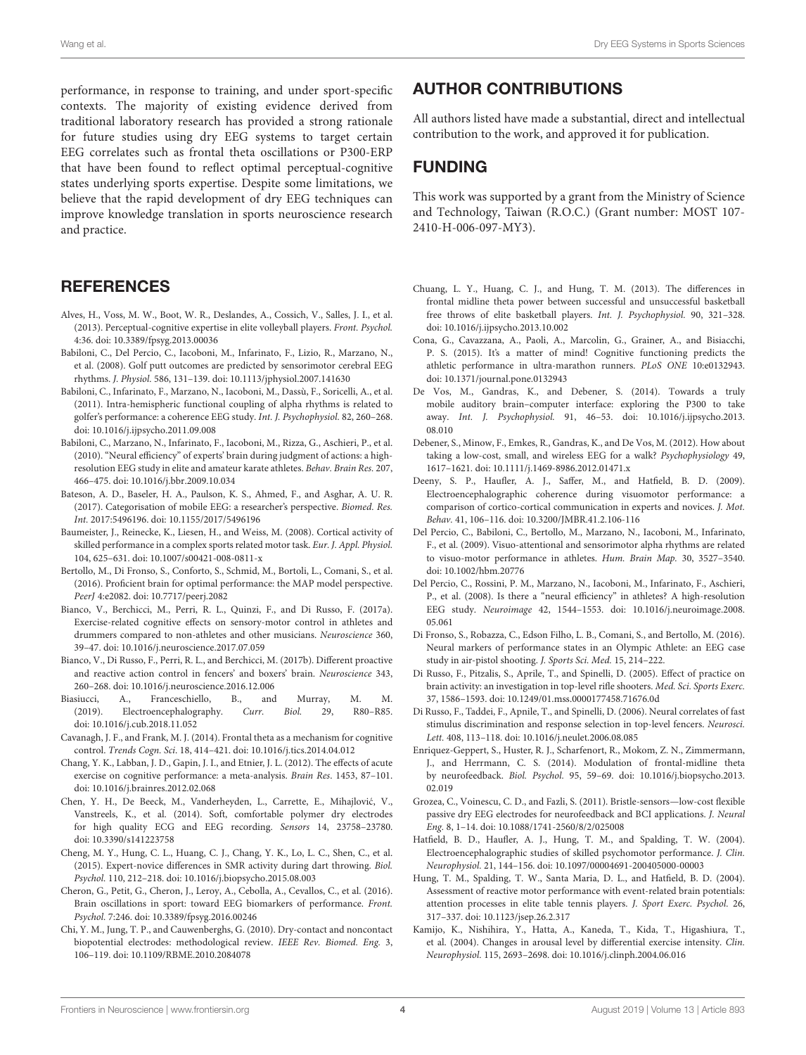performance, in response to training, and under sport-specific contexts. The majority of existing evidence derived from traditional laboratory research has provided a strong rationale for future studies using dry EEG systems to target certain EEG correlates such as frontal theta oscillations or P300-ERP that have been found to reflect optimal perceptual-cognitive states underlying sports expertise. Despite some limitations, we believe that the rapid development of dry EEG techniques can improve knowledge translation in sports neuroscience research and practice.

### **REFERENCES**

- <span id="page-3-2"></span>Alves, H., Voss, M. W., Boot, W. R., Deslandes, A., Cossich, V., Salles, J. I., et al. (2013). Perceptual-cognitive expertise in elite volleyball players. Front. Psychol. 4:36. doi: [10.3389/fpsyg.2013.00036](https://doi.org/10.3389/fpsyg.2013.00036)
- <span id="page-3-17"></span>Babiloni, C., Del Percio, C., Iacoboni, M., Infarinato, F., Lizio, R., Marzano, N., et al. (2008). Golf putt outcomes are predicted by sensorimotor cerebral EEG rhythms. J. Physiol. 586, 131–139. doi: [10.1113/jphysiol.2007.141630](https://doi.org/10.1113/jphysiol.2007.141630)
- <span id="page-3-23"></span>Babiloni, C., Infarinato, F., Marzano, N., Iacoboni, M., Dassù, F., Soricelli, A., et al. (2011). Intra-hemispheric functional coupling of alpha rhythms is related to golfer's performance: a coherence EEG study. Int. J. Psychophysiol. 82, 260–268. doi: [10.1016/j.ijpsycho.2011.09.008](https://doi.org/10.1016/j.ijpsycho.2011.09.008)
- <span id="page-3-11"></span>Babiloni, C., Marzano, N., Infarinato, F., Iacoboni, M., Rizza, G., Aschieri, P., et al. (2010). "Neural efficiency" of experts' brain during judgment of actions: a highresolution EEG study in elite and amateur karate athletes. Behav. Brain Res. 207, 466–475. doi: [10.1016/j.bbr.2009.10.034](https://doi.org/10.1016/j.bbr.2009.10.034)
- <span id="page-3-14"></span>Bateson, A. D., Baseler, H. A., Paulson, K. S., Ahmed, F., and Asghar, A. U. R. (2017). Categorisation of mobile EEG: a researcher's perspective. Biomed. Res. Int. 2017:5496196. doi: [10.1155/2017/5496196](https://doi.org/10.1155/2017/5496196)
- <span id="page-3-19"></span>Baumeister, J., Reinecke, K., Liesen, H., and Weiss, M. (2008). Cortical activity of skilled performance in a complex sports related motor task. Eur. J. Appl. Physiol. 104, 625–631. doi: [10.1007/s00421-008-0811-x](https://doi.org/10.1007/s00421-008-0811-x)
- <span id="page-3-12"></span>Bertollo, M., Di Fronso, S., Conforto, S., Schmid, M., Bortoli, L., Comani, S., et al. (2016). Proficient brain for optimal performance: the MAP model perspective. PeerJ 4:e2082. doi: [10.7717/peerj.2082](https://doi.org/10.7717/peerj.2082)
- <span id="page-3-7"></span>Bianco, V., Berchicci, M., Perri, R. L., Quinzi, F., and Di Russo, F. (2017a). Exercise-related cognitive effects on sensory-motor control in athletes and drummers compared to non-athletes and other musicians. Neuroscience 360, 39–47. doi: [10.1016/j.neuroscience.2017.07.059](https://doi.org/10.1016/j.neuroscience.2017.07.059)
- <span id="page-3-0"></span>Bianco, V., Di Russo, F., Perri, R. L., and Berchicci, M. (2017b). Different proactive and reactive action control in fencers' and boxers' brain. Neuroscience 343, 260–268. doi: [10.1016/j.neuroscience.2016.12.006](https://doi.org/10.1016/j.neuroscience.2016.12.006)
- <span id="page-3-5"></span>Biasiucci, A., Franceschiello, B., and Murray, M. M.<br>(2019). Electroencephalography. Curr. Biol. 29, R80-R85. (2019). Electroencephalography. Curr. Biol. 29, doi: [10.1016/j.cub.2018.11.052](https://doi.org/10.1016/j.cub.2018.11.052)
- <span id="page-3-18"></span>Cavanagh, J. F., and Frank, M. J. (2014). Frontal theta as a mechanism for cognitive control. Trends Cogn. Sci. 18, 414–421. doi: [10.1016/j.tics.2014.04.012](https://doi.org/10.1016/j.tics.2014.04.012)
- <span id="page-3-26"></span>Chang, Y. K., Labban, J. D., Gapin, J. I., and Etnier, J. L. (2012). The effects of acute exercise on cognitive performance: a meta-analysis. Brain Res. 1453, 87–101. doi: [10.1016/j.brainres.2012.02.068](https://doi.org/10.1016/j.brainres.2012.02.068)
- <span id="page-3-15"></span>Chen, Y. H., De Beeck, M., Vanderheyden, L., Carrette, E., Mihajlovic, V., ´ Vanstreels, K., et al. (2014). Soft, comfortable polymer dry electrodes for high quality ECG and EEG recording. Sensors 14, 23758–23780. doi: [10.3390/s141223758](https://doi.org/10.3390/s141223758)
- <span id="page-3-24"></span>Cheng, M. Y., Hung, C. L., Huang, C. J., Chang, Y. K., Lo, L. C., Shen, C., et al. (2015). Expert-novice differences in SMR activity during dart throwing. Biol. Psychol. 110, 212–218. doi: [10.1016/j.biopsycho.2015.08.003](https://doi.org/10.1016/j.biopsycho.2015.08.003)
- <span id="page-3-4"></span>Cheron, G., Petit, G., Cheron, J., Leroy, A., Cebolla, A., Cevallos, C., et al. (2016). Brain oscillations in sport: toward EEG biomarkers of performance. Front. Psychol. 7:246. doi: [10.3389/fpsyg.2016.00246](https://doi.org/10.3389/fpsyg.2016.00246)
- <span id="page-3-16"></span>Chi, Y. M., Jung, T. P., and Cauwenberghs, G. (2010). Dry-contact and noncontact biopotential electrodes: methodological review. IEEE Rev. Biomed. Eng. 3, 106–119. doi: [10.1109/RBME.2010.2084078](https://doi.org/10.1109/RBME.2010.2084078)

## AUTHOR CONTRIBUTIONS

All authors listed have made a substantial, direct and intellectual contribution to the work, and approved it for publication.

## FUNDING

This work was supported by a grant from the Ministry of Science and Technology, Taiwan (R.O.C.) (Grant number: MOST 107- 2410-H-006-097-MY3).

- <span id="page-3-20"></span>Chuang, L. Y., Huang, C. J., and Hung, T. M. (2013). The differences in frontal midline theta power between successful and unsuccessful basketball free throws of elite basketball players. Int. J. Psychophysiol. 90, 321–328. doi: [10.1016/j.ijpsycho.2013.10.002](https://doi.org/10.1016/j.ijpsycho.2013.10.002)
- <span id="page-3-3"></span>Cona, G., Cavazzana, A., Paoli, A., Marcolin, G., Grainer, A., and Bisiacchi, P. S. (2015). It's a matter of mind! Cognitive functioning predicts the athletic performance in ultra-marathon runners. PLoS ONE 10:e0132943. doi: [10.1371/journal.pone.0132943](https://doi.org/10.1371/journal.pone.0132943)
- <span id="page-3-28"></span>De Vos, M., Gandras, K., and Debener, S. (2014). Towards a truly mobile auditory brain–computer interface: exploring the P300 to take away. Int. J. Psychophysiol. [91, 46–53. doi: 10.1016/j.ijpsycho.2013.](https://doi.org/10.1016/j.ijpsycho.2013.08.010) 08.010
- <span id="page-3-27"></span>Debener, S., Minow, F., Emkes, R., Gandras, K., and De Vos, M. (2012). How about taking a low-cost, small, and wireless EEG for a walk? Psychophysiology 49, 1617–1621. doi: [10.1111/j.1469-8986.2012.01471.x](https://doi.org/10.1111/j.1469-8986.2012.01471.x)
- <span id="page-3-22"></span>Deeny, S. P., Haufler, A. J., Saffer, M., and Hatfield, B. D. (2009). Electroencephalographic coherence during visuomotor performance: a comparison of cortico-cortical communication in experts and novices. J. Mot. Behav. 41, 106–116. doi: [10.3200/JMBR.41.2.106-116](https://doi.org/10.3200/JMBR.41.2.106-116)
- <span id="page-3-10"></span>Del Percio, C., Babiloni, C., Bertollo, M., Marzano, N., Iacoboni, M., Infarinato, F., et al. (2009). Visuo-attentional and sensorimotor alpha rhythms are related to visuo-motor performance in athletes. Hum. Brain Map. 30, 3527–3540. doi: [10.1002/hbm.20776](https://doi.org/10.1002/hbm.20776)
- <span id="page-3-9"></span>Del Percio, C., Rossini, P. M., Marzano, N., Iacoboni, M., Infarinato, F., Aschieri, P., et al. (2008). Is there a "neural efficiency" in athletes? A high-resolution EEG study. Neuroimage [42, 1544–1553. doi: 10.1016/j.neuroimage.2008.](https://doi.org/10.1016/j.neuroimage.2008.05.061) 05.061
- <span id="page-3-13"></span>Di Fronso, S., Robazza, C., Edson Filho, L. B., Comani, S., and Bertollo, M. (2016). Neural markers of performance states in an Olympic Athlete: an EEG case study in air-pistol shooting. J. Sports Sci. Med. 15, 214–222.
- <span id="page-3-8"></span>Di Russo, F., Pitzalis, S., Aprile, T., and Spinelli, D. (2005). Effect of practice on brain activity: an investigation in top-level rifle shooters. Med. Sci. Sports Exerc. 37, 1586–1593. doi: [10.1249/01.mss.0000177458.71676.0d](https://doi.org/10.1249/01.mss.0000177458.71676.0d)
- <span id="page-3-6"></span>Di Russo, F., Taddei, F., Apnile, T., and Spinelli, D. (2006). Neural correlates of fast stimulus discrimination and response selection in top-level fencers. Neurosci. Lett. 408, 113–118. doi: [10.1016/j.neulet.2006.08.085](https://doi.org/10.1016/j.neulet.2006.08.085)
- <span id="page-3-21"></span>Enriquez-Geppert, S., Huster, R. J., Scharfenort, R., Mokom, Z. N., Zimmermann, J., and Herrmann, C. S. (2014). Modulation of frontal-midline theta by neurofeedback. Biol. Psychol. [95, 59–69. doi: 10.1016/j.biopsycho.2013.](https://doi.org/10.1016/j.biopsycho.2013.02.019) 02.019
- <span id="page-3-30"></span>Grozea, C., Voinescu, C. D., and Fazli, S. (2011). Bristle-sensors—low-cost flexible passive dry EEG electrodes for neurofeedback and BCI applications. J. Neural Eng. 8, 1–14. doi: [10.1088/1741-2560/8/2/025008](https://doi.org/10.1088/1741-2560/8/2/025008)
- <span id="page-3-25"></span>Hatfield, B. D., Haufler, A. J., Hung, T. M., and Spalding, T. W. (2004). Electroencephalographic studies of skilled psychomotor performance. J. Clin. Neurophysiol. 21, 144–156. doi: [10.1097/00004691-200405000-00003](https://doi.org/10.1097/00004691-200405000-00003)
- <span id="page-3-1"></span>Hung, T. M., Spalding, T. W., Santa Maria, D. L., and Hatfield, B. D. (2004). Assessment of reactive motor performance with event-related brain potentials: attention processes in elite table tennis players. J. Sport Exerc. Psychol. 26, 317–337. doi: [10.1123/jsep.26.2.317](https://doi.org/10.1123/jsep.26.2.317)
- <span id="page-3-29"></span>Kamijo, K., Nishihira, Y., Hatta, A., Kaneda, T., Kida, T., Higashiura, T., et al. (2004). Changes in arousal level by differential exercise intensity. Clin. Neurophysiol. 115, 2693–2698. doi: [10.1016/j.clinph.2004.06.016](https://doi.org/10.1016/j.clinph.2004.06.016)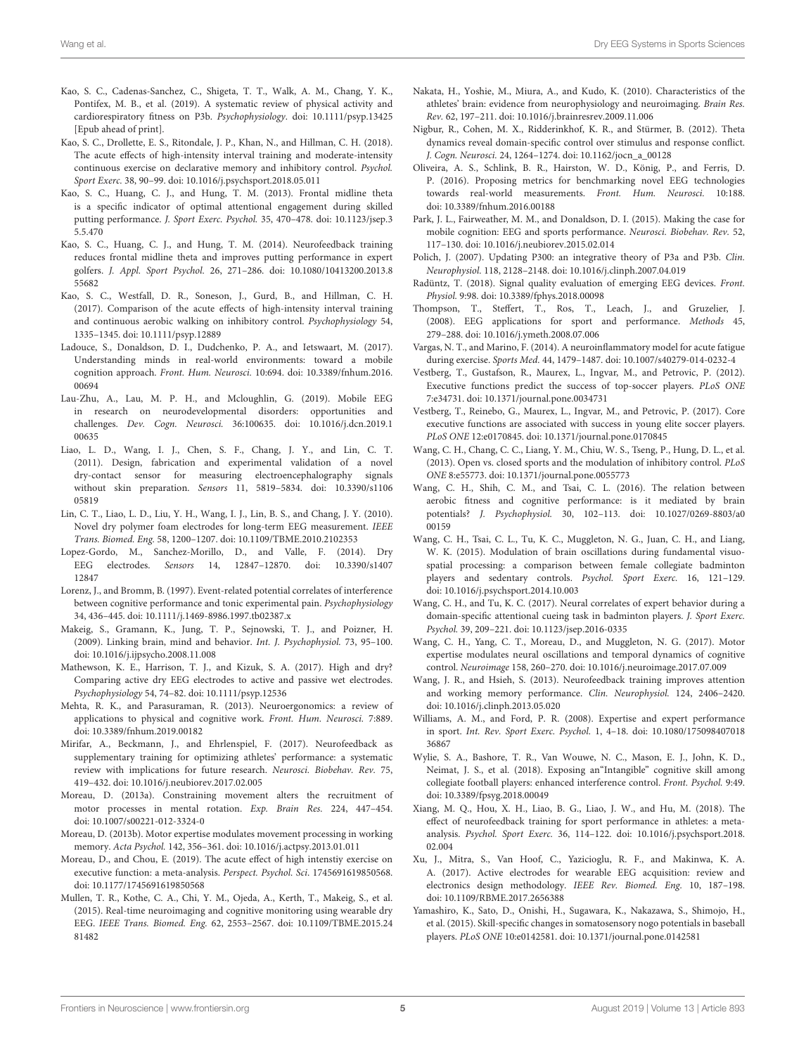- <span id="page-4-32"></span>Kao, S. C., Cadenas-Sanchez, C., Shigeta, T. T., Walk, A. M., Chang, Y. K., Pontifex, M. B., et al. (2019). A systematic review of physical activity and cardiorespiratory fitness on P3b. Psychophysiology. doi: [10.1111/psyp.13425](https://doi.org/10.1111/psyp.13425) [Epub ahead of print].
- <span id="page-4-34"></span>Kao, S. C., Drollette, E. S., Ritondale, J. P., Khan, N., and Hillman, C. H. (2018). The acute effects of high-intensity interval training and moderate-intensity continuous exercise on declarative memory and inhibitory control. Psychol. Sport Exerc. 38, 90–99. doi: [10.1016/j.psychsport.2018.05.011](https://doi.org/10.1016/j.psychsport.2018.05.011)
- <span id="page-4-21"></span>Kao, S. C., Huang, C. J., and Hung, T. M. (2013). Frontal midline theta is a specific indicator of optimal attentional engagement during skilled putting performance. J. Sport Exerc. Psychol. [35, 470–478. doi: 10.1123/jsep.3](https://doi.org/10.1123/jsep.35.5.470) 5.5.470
- <span id="page-4-24"></span>Kao, S. C., Huang, C. J., and Hung, T. M. (2014). Neurofeedback training reduces frontal midline theta and improves putting performance in expert golfers. J. Appl. Sport Psychol. [26, 271–286. doi: 10.1080/10413200.2013.8](https://doi.org/10.1080/10413200.2013.855682) 55682
- <span id="page-4-33"></span>Kao, S. C., Westfall, D. R., Soneson, J., Gurd, B., and Hillman, C. H. (2017). Comparison of the acute effects of high-intensity interval training and continuous aerobic walking on inhibitory control. Psychophysiology 54, 1335–1345. doi: [10.1111/psyp.12889](https://doi.org/10.1111/psyp.12889)
- <span id="page-4-36"></span>Ladouce, S., Donaldson, D. I., Dudchenko, P. A., and Ietswaart, M. (2017). Understanding minds in real-world environments: toward a mobile cognition approach. Front. Hum. Neurosci. [10:694. doi: 10.3389/fnhum.2016.](https://doi.org/10.3389/fnhum.2016.00694) 00694
- <span id="page-4-18"></span>Lau-Zhu, A., Lau, M. P. H., and Mcloughlin, G. (2019). Mobile EEG in research on neurodevelopmental disorders: opportunities and challenges. Dev. Cogn. Neurosci. [36:100635. doi: 10.1016/j.dcn.2019.1](https://doi.org/10.1016/j.dcn.2019.100635) 00635
- <span id="page-4-27"></span>Liao, L. D., Wang, I. J., Chen, S. F., Chang, J. Y., and Lin, C. T. (2011). Design, fabrication and experimental validation of a novel dry-contact sensor for measuring electroencephalography signals without skin preparation. Sensors [11, 5819–5834. doi: 10.3390/s1106](https://doi.org/10.3390/s110605819) 05819
- <span id="page-4-39"></span>Lin, C. T., Liao, L. D., Liu, Y. H., Wang, I. J., Lin, B. S., and Chang, J. Y. (2010). Novel dry polymer foam electrodes for long-term EEG measurement. IEEE Trans. Biomed. Eng. 58, 1200–1207. doi: [10.1109/TBME.2010.2102353](https://doi.org/10.1109/TBME.2010.2102353)
- <span id="page-4-19"></span>Lopez-Gordo, M., Sanchez-Morillo, D., and Valle, F. (2014). Dry EEG electrodes. Sensors [14, 12847–12870. doi: 10.3390/s1407](https://doi.org/10.3390/s140712847) 12847
- <span id="page-4-38"></span>Lorenz, J., and Bromm, B. (1997). Event-related potential correlates of interference between cognitive performance and tonic experimental pain. Psychophysiology 34, 436–445. doi: [10.1111/j.1469-8986.1997.tb02387.x](https://doi.org/10.1111/j.1469-8986.1997.tb02387.x)
- <span id="page-4-16"></span>Makeig, S., Gramann, K., Jung, T. P., Sejnowski, T. J., and Poizner, H. (2009). Linking brain, mind and behavior. Int. J. Psychophysiol. 73, 95–100. doi: [10.1016/j.ijpsycho.2008.11.008](https://doi.org/10.1016/j.ijpsycho.2008.11.008)
- <span id="page-4-29"></span>Mathewson, K. E., Harrison, T. J., and Kizuk, S. A. (2017). High and dry? Comparing active dry EEG electrodes to active and passive wet electrodes. Psychophysiology 54, 74–82. doi: [10.1111/psyp.12536](https://doi.org/10.1111/psyp.12536)
- <span id="page-4-8"></span>Mehta, R. K., and Parasuraman, R. (2013). Neuroergonomics: a review of applications to physical and cognitive work. Front. Hum. Neurosci. 7:889. doi: [10.3389/fnhum.2019.00182](https://doi.org/10.3389/fnhum.2019.00182)
- <span id="page-4-14"></span>Mirifar, A., Beckmann, J., and Ehrlenspiel, F. (2017). Neurofeedback as supplementary training for optimizing athletes' performance: a systematic review with implications for future research. Neurosci. Biobehav. Rev. 75, 419–432. doi: [10.1016/j.neubiorev.2017.02.005](https://doi.org/10.1016/j.neubiorev.2017.02.005)
- <span id="page-4-5"></span>Moreau, D. (2013a). Constraining movement alters the recruitment of motor processes in mental rotation. Exp. Brain Res. 224, 447–454. doi: [10.1007/s00221-012-3324-0](https://doi.org/10.1007/s00221-012-3324-0)
- <span id="page-4-3"></span>Moreau, D. (2013b). Motor expertise modulates movement processing in working memory. Acta Psychol. 142, 356–361. doi: [10.1016/j.actpsy.2013.01.011](https://doi.org/10.1016/j.actpsy.2013.01.011)
- <span id="page-4-28"></span>Moreau, D., and Chou, E. (2019). The acute effect of high intenstiy exercise on executive function: a meta-analysis. Perspect. Psychol. Sci. 1745691619850568. doi: [10.1177/1745691619850568](https://doi.org/10.1177/1745691619850568)
- <span id="page-4-26"></span>Mullen, T. R., Kothe, C. A., Chi, Y. M., Ojeda, A., Kerth, T., Makeig, S., et al. (2015). Real-time neuroimaging and cognitive monitoring using wearable dry EEG. IEEE Trans. Biomed. Eng. [62, 2553–2567. doi: 10.1109/TBME.2015.24](https://doi.org/10.1109/TBME.2015.2481482) 81482
- <span id="page-4-9"></span>Nakata, H., Yoshie, M., Miura, A., and Kudo, K. (2010). Characteristics of the athletes' brain: evidence from neurophysiology and neuroimaging. Brain Res. Rev. 62, 197–211. doi: [10.1016/j.brainresrev.2009.11.006](https://doi.org/10.1016/j.brainresrev.2009.11.006)
- <span id="page-4-22"></span>Nigbur, R., Cohen, M. X., Ridderinkhof, K. R., and Stürmer, B. (2012). Theta dynamics reveal domain-specific control over stimulus and response conflict. J. Cogn. Neurosci. 24, 1264–1274. doi: [10.1162/jocn\\_a\\_00128](https://doi.org/10.1162/jocn_a_00128)
- <span id="page-4-17"></span>Oliveira, A. S., Schlink, B. R., Hairston, W. D., König, P., and Ferris, D. P. (2016). Proposing metrics for benchmarking novel EEG technologies towards real-world measurements. Front. Hum. Neurosci. 10:188. doi: [10.3389/fnhum.2016.00188](https://doi.org/10.3389/fnhum.2016.00188)
- <span id="page-4-10"></span>Park, J. L., Fairweather, M. M., and Donaldson, D. I. (2015). Making the case for mobile cognition: EEG and sports performance. Neurosci. Biobehav. Rev. 52, 117–130. doi: [10.1016/j.neubiorev.2015.02.014](https://doi.org/10.1016/j.neubiorev.2015.02.014)
- <span id="page-4-30"></span>Polich, J. (2007). Updating P300: an integrative theory of P3a and P3b. Clin. Neurophysiol. 118, 2128–2148. doi: [10.1016/j.clinph.2007.04.019](https://doi.org/10.1016/j.clinph.2007.04.019)
- <span id="page-4-37"></span>Radüntz, T. (2018). Signal quality evaluation of emerging EEG devices. Front. Physiol. 9:98. doi: [10.3389/fphys.2018.00098](https://doi.org/10.3389/fphys.2018.00098)
- <span id="page-4-25"></span>Thompson, T., Steffert, T., Ros, T., Leach, J., and Gruzelier, J. (2008). EEG applications for sport and performance. Methods 45, 279–288. doi: [10.1016/j.ymeth.2008.07.006](https://doi.org/10.1016/j.ymeth.2008.07.006)
- <span id="page-4-35"></span>Vargas, N. T., and Marino, F. (2014). A neuroinflammatory model for acute fatigue during exercise. Sports Med. 44, 1479–1487. doi: [10.1007/s40279-014-0232-4](https://doi.org/10.1007/s40279-014-0232-4)
- <span id="page-4-6"></span>Vestberg, T., Gustafson, R., Maurex, L., Ingvar, M., and Petrovic, P. (2012). Executive functions predict the success of top-soccer players. PLoS ONE 7:e34731. doi: [10.1371/journal.pone.0034731](https://doi.org/10.1371/journal.pone.0034731)
- <span id="page-4-7"></span>Vestberg, T., Reinebo, G., Maurex, L., Ingvar, M., and Petrovic, P. (2017). Core executive functions are associated with success in young elite soccer players. PLoS ONE 12:e0170845. doi: [10.1371/journal.pone.0170845](https://doi.org/10.1371/journal.pone.0170845)
- <span id="page-4-1"></span>Wang, C. H., Chang, C. C., Liang, Y. M., Chiu, W. S., Tseng, P., Hung, D. L., et al. (2013). Open vs. closed sports and the modulation of inhibitory control. PLoS ONE 8:e55773. doi: [10.1371/journal.pone.0055773](https://doi.org/10.1371/journal.pone.0055773)
- <span id="page-4-31"></span>Wang, C. H., Shih, C. M., and Tsai, C. L. (2016). The relation between aerobic fitness and cognitive performance: is it mediated by brain potentials? J. Psychophysiol. [30, 102–113. doi: 10.1027/0269-8803/a0](https://doi.org/10.1027/0269-8803/a000159) 00159
- <span id="page-4-4"></span>Wang, C. H., Tsai, C. L., Tu, K. C., Muggleton, N. G., Juan, C. H., and Liang, W. K. (2015). Modulation of brain oscillations during fundamental visuospatial processing: a comparison between female collegiate badminton players and sedentary controls. Psychol. Sport Exerc. 16, 121–129. doi: [10.1016/j.psychsport.2014.10.003](https://doi.org/10.1016/j.psychsport.2014.10.003)
- <span id="page-4-13"></span>Wang, C. H., and Tu, K. C. (2017). Neural correlates of expert behavior during a domain-specific attentional cueing task in badminton players. J. Sport Exerc. Psychol. 39, 209–221. doi: [10.1123/jsep.2016-0335](https://doi.org/10.1123/jsep.2016-0335)
- <span id="page-4-12"></span>Wang, C. H., Yang, C. T., Moreau, D., and Muggleton, N. G. (2017). Motor expertise modulates neural oscillations and temporal dynamics of cognitive control. Neuroimage 158, 260–270. doi: [10.1016/j.neuroimage.2017.07.009](https://doi.org/10.1016/j.neuroimage.2017.07.009)
- <span id="page-4-23"></span>Wang, J. R., and Hsieh, S. (2013). Neurofeedback training improves attention and working memory performance. Clin. Neurophysiol. 124, 2406–2420. doi: [10.1016/j.clinph.2013.05.020](https://doi.org/10.1016/j.clinph.2013.05.020)
- <span id="page-4-0"></span>Williams, A. M., and Ford, P. R. (2008). Expertise and expert performance in sport. Int. Rev. Sport Exerc. Psychol. [1, 4–18. doi: 10.1080/175098407018](https://doi.org/10.1080/17509840701836867) 36867
- <span id="page-4-2"></span>Wylie, S. A., Bashore, T. R., Van Wouwe, N. C., Mason, E. J., John, K. D., Neimat, J. S., et al. (2018). Exposing an"Intangible" cognitive skill among collegiate football players: enhanced interference control. Front. Psychol. 9:49. doi: [10.3389/fpsyg.2018.00049](https://doi.org/10.3389/fpsyg.2018.00049)
- <span id="page-4-15"></span>Xiang, M. Q., Hou, X. H., Liao, B. G., Liao, J. W., and Hu, M. (2018). The effect of neurofeedback training for sport performance in athletes: a metaanalysis. Psychol. Sport Exerc. [36, 114–122. doi: 10.1016/j.psychsport.2018.](https://doi.org/10.1016/j.psychsport.2018.02.004) 02.004
- <span id="page-4-20"></span>Xu, J., Mitra, S., Van Hoof, C., Yazicioglu, R. F., and Makinwa, K. A. A. (2017). Active electrodes for wearable EEG acquisition: review and electronics design methodology. IEEE Rev. Biomed. Eng. 10, 187–198. doi: [10.1109/RBME.2017.2656388](https://doi.org/10.1109/RBME.2017.2656388)
- <span id="page-4-11"></span>Yamashiro, K., Sato, D., Onishi, H., Sugawara, K., Nakazawa, S., Shimojo, H., et al. (2015). Skill-specific changes in somatosensory nogo potentials in baseball players. PLoS ONE 10:e0142581. doi: [10.1371/journal.pone.0142581](https://doi.org/10.1371/journal.pone.0142581)